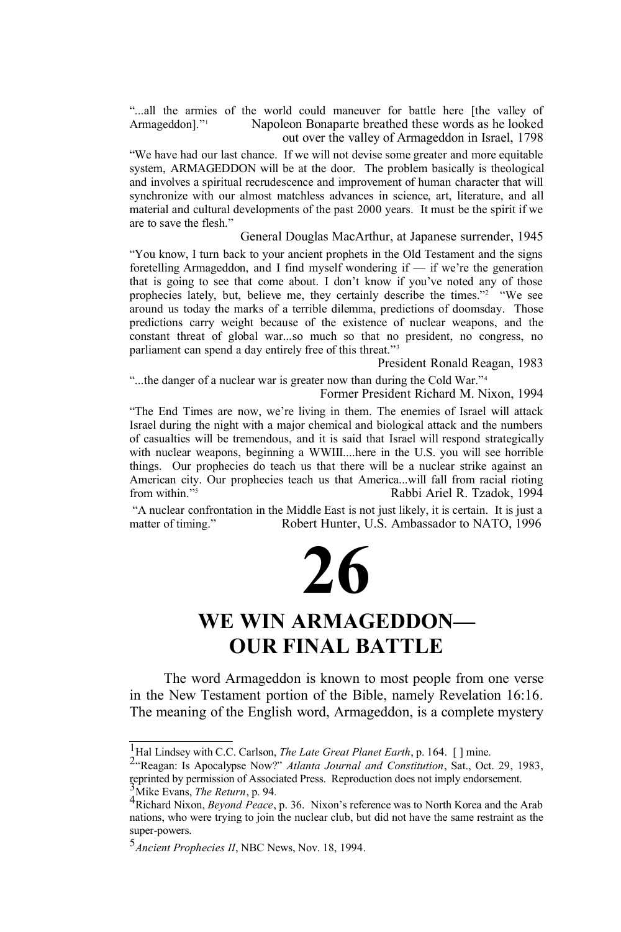"...all the armies of the world could maneuver for battle here [the valley of Armageddon]."<sup>1</sup> Napoleon Bonaparte breathed these words as he looked out over the valley of Armageddon in Israel, 1798

"We have had our last chance. If we will not devise some greater and more equitable system, ARMAGEDDON will be at the door. The problem basically is theological and involves a spiritual recrudescence and improvement of human character that will synchronize with our almost matchless advances in science, art, literature, and all material and cultural developments of the past 2000 years. It must be the spirit if we are to save the flesh."

General Douglas MacArthur, at Japanese surrender, 1945

"You know, I turn back to your ancient prophets in the Old Testament and the signs foretelling Armageddon, and I find myself wondering if — if we're the generation that is going to see that come about. I don't know if you've noted any of those prophecies lately, but, believe me, they certainly describe the times."<sup>2</sup> "We see around us today the marks of a terrible dilemma, predictions of doomsday. Those predictions carry weight because of the existence of nuclear weapons, and the constant threat of global war...so much so that no president, no congress, no parliament can spend a day entirely free of this threat."<sup>3</sup>

President Ronald Reagan, 1983

"...the danger of a nuclear war is greater now than during the Cold War."<sup>4</sup> Former President Richard M. Nixon, 1994

"The End Times are now, we're living in them. The enemies of Israel will attack Israel during the night with a major chemical and biological attack and the numbers of casualties will be tremendous, and it is said that Israel will respond strategically with nuclear weapons, beginning a WWIII....here in the U.S. you will see horrible things. Our prophecies do teach us that there will be a nuclear strike against an American city. Our prophecies teach us that America...will fall from racial rioting from within."<sup>5</sup> Rabbi Ariel R. Tzadok, 1994

 "A nuclear confrontation in the Middle East is not just likely, it is certain. It is just a matter of timing." Robert Hunter, U.S. Ambassador to NATO, 1996



# **WE WIN ARMAGEDDON— OUR FINAL BATTLE**

The word Armageddon is known to most people from one verse in the New Testament portion of the Bible, namely Revelation 16:16. The meaning of the English word, Armageddon, is a complete mystery

3Mike Evans, *The Return*, p. <sup>94</sup>*.*

<sup>1</sup>Hal Lindsey with C.C. Carlson, *The Late Great Planet Earth*, p. 164. [ ] mine.

<sup>2</sup> "Reagan: Is Apocalypse Now?" *Atlanta Journal and Constitution*, Sat., Oct. 29, 1983, reprinted by permission of Associated Press. Reproduction does not imply endorsement.

<sup>4</sup>Richard Nixon, *Beyond Peace*, p. 36. Nixon's reference was to North Korea and the Arab nations, who were trying to join the nuclear club, but did not have the same restraint as the super-powers.

<sup>5</sup>*Ancient Prophecies II*, NBC News, Nov. 18, 1994.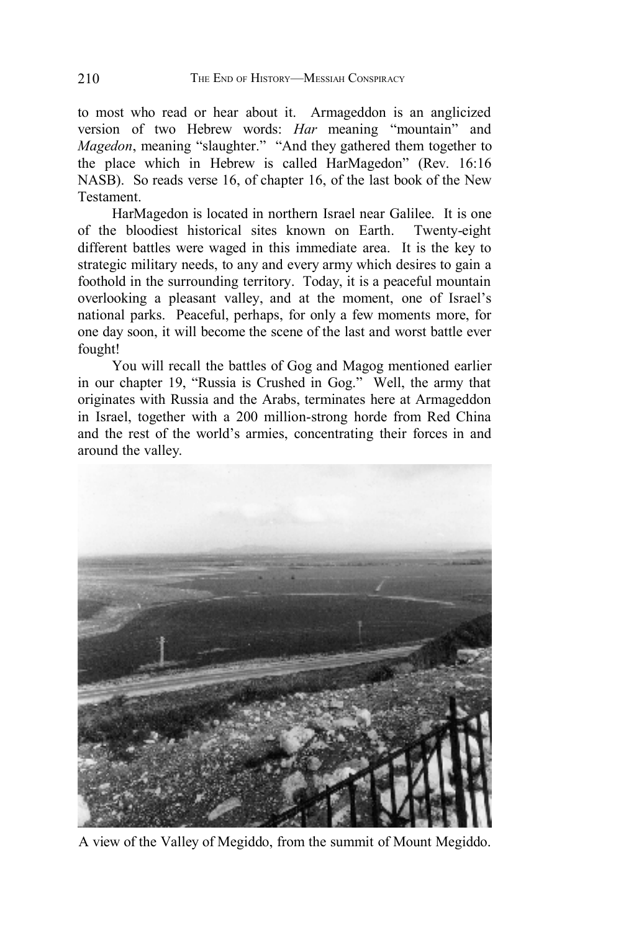to most who read or hear about it. Armageddon is an anglicized version of two Hebrew words: *Har* meaning "mountain" and *Magedon*, meaning "slaughter." "And they gathered them together to the place which in Hebrew is called HarMagedon" (Rev. 16:16 NASB). So reads verse 16, of chapter 16, of the last book of the New Testament.

HarMagedon is located in northern Israel near Galilee. It is one of the bloodiest historical sites known on Earth. Twenty-eight different battles were waged in this immediate area. It is the key to strategic military needs, to any and every army which desires to gain a foothold in the surrounding territory. Today, it is a peaceful mountain overlooking a pleasant valley, and at the moment, one of Israel's national parks. Peaceful, perhaps, for only a few moments more, for one day soon, it will become the scene of the last and worst battle ever fought!

You will recall the battles of Gog and Magog mentioned earlier in our chapter 19, "Russia is Crushed in Gog." Well, the army that originates with Russia and the Arabs, terminates here at Armageddon in Israel, together with a 200 million-strong horde from Red China and the rest of the world's armies, concentrating their forces in and around the valley.



A view of the Valley of Megiddo, from the summit of Mount Megiddo.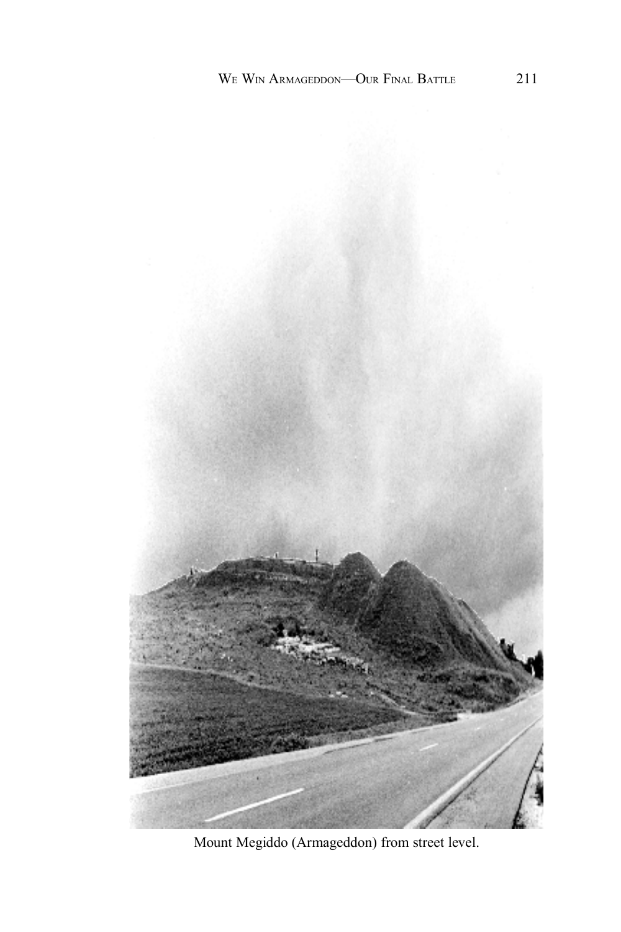

Mount Megiddo (Armageddon) from street level.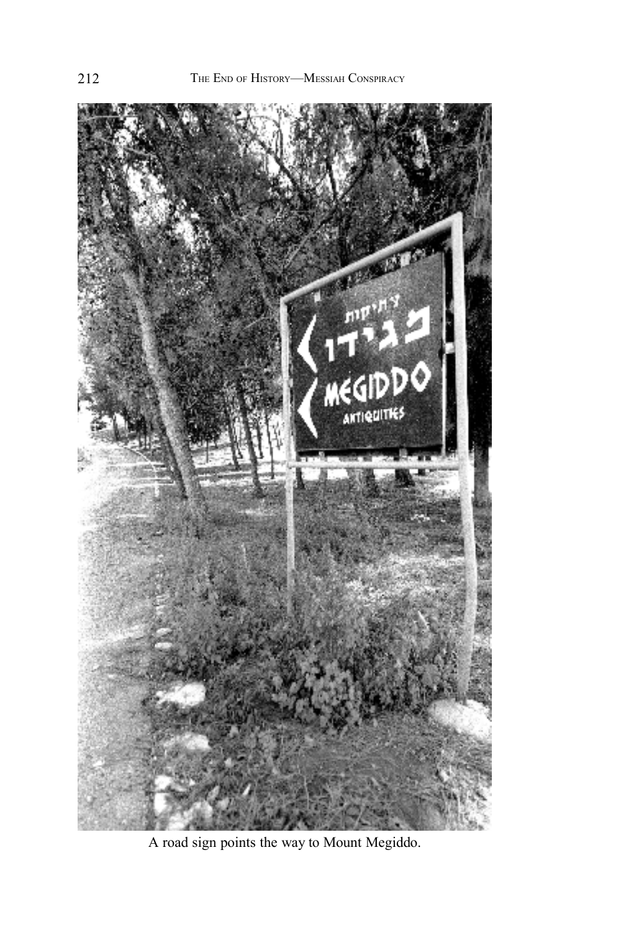

A road sign points the way to Mount Megiddo.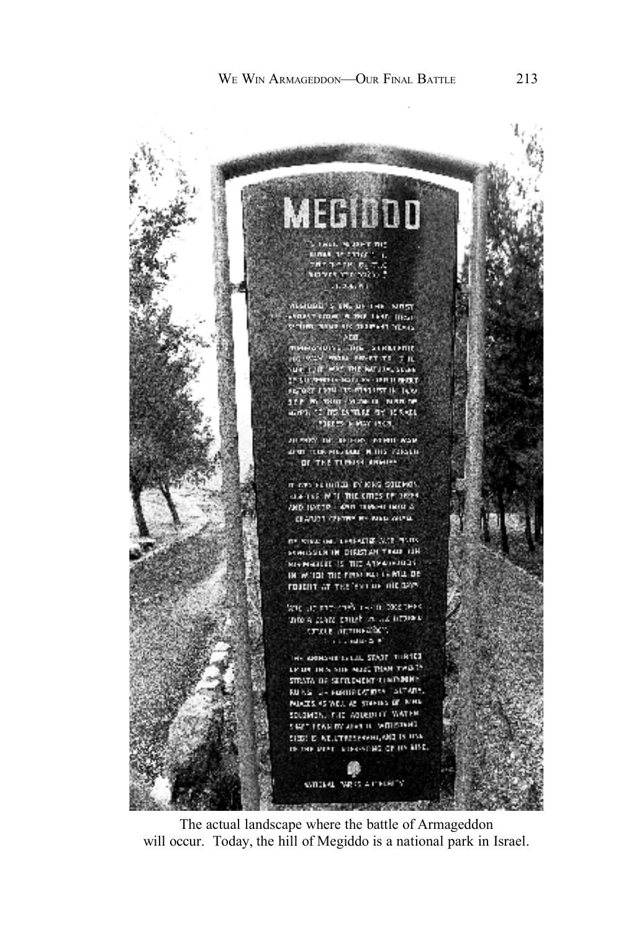

The actual landscape where the battle of Armageddon will occur. Today, the hill of Megiddo is a national park in Israel.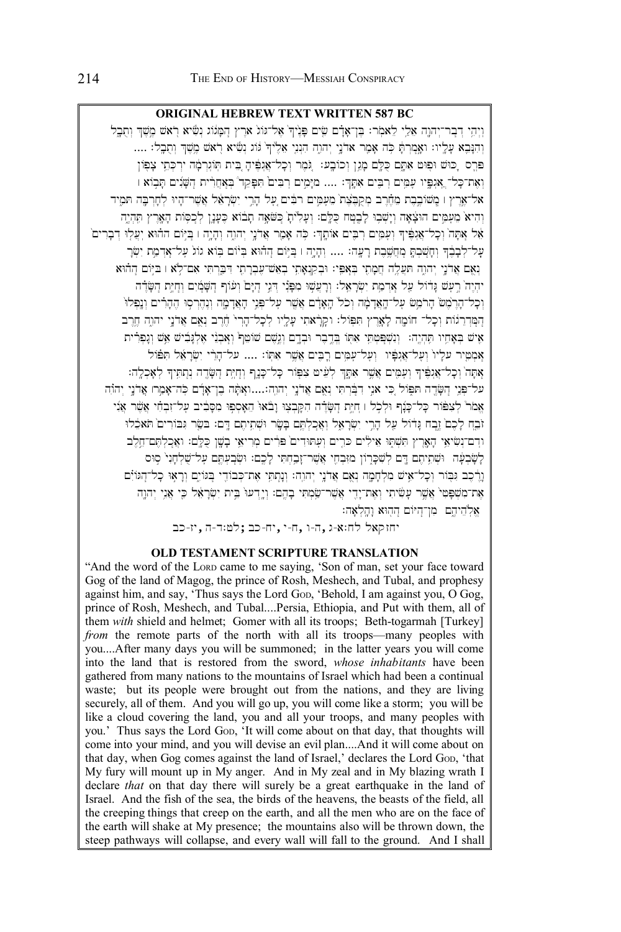# **ORIGINAL HEBREW TEXT WRITTEN 587 BC**

וְיָהִי דְבְר־יְהֹנֶה אֲלֵי לֵאמְר: בֶּן־אָדָם שִׂים פָּנֶיךָ אֶל־גּוֹג אַרֶץ הֲמָנוֹג נְשִׂיא רָאשׁ מָשֶׁךְ וְתָבֶל וְהַנָּבֶא עָלֶיו: ואָמְרְתָּ כִּה אָמֶר אדֹנֵי יְהוֶה הִנְנֵי אֵלֶיֹךְ גֹּוֹג נְשִׂיא רָאשׁ מֵשֶׁךְ וְהָבֶל: .... פּרֶס ,כּוּשׁ וּפִוּטּ אַתֶּם כֻלֶם מָגֵן וְכוֹבֶע: ,גֹמֶר וְכָל־אֲגְפֶּ֫יהָ בֵית תְּוֹגְרְמָ֫ה יִרְכְתֵי צָפִוֹן וְאֶת־כָּל־ אֲגְפֵיו עָמֶים רִבֵּים אָתֶךְ: .... מיַמֵים רִבִּים תִּפָּקֵד בְּאָחֲרִית הָשָּׁנִים תַּבְוֹא ו אל־אֱרֶץ ו מֲשׁוֹבֱבֶת מֵחֶרֶב מְקִבֶּצֶת מֵעָמִים רבִּים עָל הָרֶי יִשְׂרָאֵל אֲשֶר־הָיוּ לְחָרְבֶה חִמִיד וְהִיאֹ מֵעָמִים הוּצָׁאָה וְיָשְׁבִוּ לָבֶשָּׁח כֻּלֶם: וְעָלִיתָׂ כִּשּׁאָה תָבֹוֹא כֶּעָנֶן לְכִסְוֹת הָאֶרֶץ תְּהְיֶה אֵל אָתָה וְכָל־אֲנְפִיךְ וְעָמִים רִבִּים אוֹתֶךְ: כָּה אָמֶר אֲדֹנֵי יְהוֹהָ וְהָיֶה ו בְּיִּוֹם ההוּא יְעֲלִוּ דִבְרִים עָל־לְבָבֶׁךְ וְחָשָׁבְהֶ מְחֲשֶׁבֶת רָעֱה: .... וְהָיֶה ו בְּיִוֹם הָהוּא בְּיֹוֹם בִּוֹא גוֹג עָל־אָדְמָת יִשְׂר נאָם אֲדֹנֵי יִהוֶה תּעֲלֶה חֲמָתֵי בִּאָפִּי: וּבְקִנְאָתֵי בְאֵשׁ־עֲבְרָתֵי דְּבָרְתִּי אָם־לְא וּ בִיִּוֹם הָהוּא יהיֵה רֵעָשׁ גָּדוֹל עַל אַדְמַת יִשְׂרָאֵל: וְרָעֲשָׁוּ מִפְּנִי דְּנֵי הָיָם וְעֹוֹף הָשָׁמְיִם וְחָיֶת הָשָׂדֶה וְכָל־הָרֶמֶשׂ הָרֹמֵשׁ עָל־הֶאֲדָמָה וְכֹל הָאָדָם אֲשֶׁר עָל־פְּנֵי הָאֲדָמָה וְנָהֶרְסִוּ הֶהָרִים וְנִפְלוֹ הַמֲדְרֵגֹוֹת וְכָל־ חוֹמֶה לָאָרֶץ תִּפְוֹל: וקָרָאתִי עָלֶיו לְכָל־הָרְיֹ חֶׁרֶב וְאֶם אֲדֹנֵי יהוֶה חֶרֶב אֵישׁ בִּאֲחֵיו תַּהְיֵה: וְנִשְׁפִּטְתֵּי אִתְוֹ בֵדֶבֶר וּבְדָם וְנֵשֵׁם שׁוֹטֵן וּאָבְנֵי אֶלְגַּבְישׁ אֲשׁ וְנָפְרִית אָמְטִיר עלָיוֹ וְעֶל־אֲנִפָּיו וְעָל־עָמִים רֶבֶים אֲשֶׁר אִתְּוּ: .... על־הָרֵׂי יִשְׂרָאֵל תִּפּוֹל אָתָה וְכָל־אֲנְפִּיךְ וְעָמִים אֲשֶׁר אִתֱךְ לְעֵיט צִפְּוֹר כָּל־כָּנֶף וְחָיִת הָשָּׂדֶה וְתָתִיךָ לְאָכְלֶה: על־פְּנֵי הָשֶּׂדֶה תּפִּוֹל כִּי אנֵי דִבְּרְתִּי וָאֶם אֲדֹנֵי יְהוֶה:....ואָתֶּה בֶּן־אָדָם כְּה־אָמָרו אֲדֹנֵי יְהוֹה אֱמֹר לְצִפּוֹר כָּל־כָּנָׁף וּלְלָל ו חָיֶת הָשֶּׂדֶה הִקָּבְצִוּ וָבֹאוֹ הֵאָסְפִוּ מִסָּבִיב עָל־זִבְהָי אֲשֶׁר אֲנִי זֹבֵח לַכֵם זֵבָח גַּדֹוֹל עַל הָרֵי יִשְׂרָאֱל וְאֱכִלְחֵם בָּשֶׂר וּשְׁתִיתֶם דַּם: בּשֵׂר גִּבּוֹרִים תֹּאבֶלוּ ודם־נִשִּׂיאֵי הָאֲרֵץ תִּשְׁתֶּוּ אֵילִים כּרֵים וְעָתוּדִים פּרִים מְרִיאֵי בָשֶׁן כָּלֶם: וּאֲכָלְתֶּם־חֲלֶב לְשָּׁבְעָּה וּשְׁתִיהֶם דֶּם לְשִׁכְרוֹן מּזִּבְחֶי אֲשֶׁר־זָבְחְתִי לָכֶם: וּשְׂבְעְתֵּם עָל־שָׁלְחָנִי סְוּס וְרָאָוּ כָל־הָוּוֹיָם וַרָאָוּ כָל־הָוּוֹיָם וְאֲבֹעֵי יְהוְה: וְנָתָתִי אֶת־כְּבוֹדֵי בְּוּוֹיָם וְרָאָוּ כָל־הָוּוֹיִם אֶת־מִשְׁפָּטִי אֲשֱר עָשִׂיתִי וְאֶת־יֶדֶי אֲשֶׁר־שַׂמְתִּי בְהֶם: וְיֵדְעוּ בֵית יִשְׂרָאֵל כֵּי אֵנֵי יִהְוֶה אַלְהֵיהֶם מִן־הִיּוֹם הָהִוּא וַהֲלְאָה:

**, ; , ,,**

#### **OLD TESTAMENT SCRIPTURE TRANSLATION**

"And the word of the LORD came to me saying, 'Son of man, set your face toward Gog of the land of Magog, the prince of Rosh, Meshech, and Tubal, and prophesy against him, and say, 'Thus says the Lord GOD, 'Behold, I am against you, O Gog, prince of Rosh, Meshech, and Tubal....Persia, Ethiopia, and Put with them, all of them *with* shield and helmet; Gomer with all its troops; Beth-togarmah [Turkey] *from* the remote parts of the north with all its troops—many peoples with you....After many days you will be summoned; in the latter years you will come into the land that is restored from the sword, *whose inhabitants* have been gathered from many nations to the mountains of Israel which had been a continual waste; but its people were brought out from the nations, and they are living securely, all of them. And you will go up, you will come like a storm; you will be like a cloud covering the land, you and all your troops, and many peoples with you.' Thus says the Lord GOD, 'It will come about on that day, that thoughts will come into your mind, and you will devise an evil plan....And it will come about on that day, when Gog comes against the land of Israel,' declares the Lord GOD, 'that My fury will mount up in My anger. And in My zeal and in My blazing wrath I declare *that* on that day there will surely be a great earthquake in the land of Israel. And the fish of the sea, the birds of the heavens, the beasts of the field, all the creeping things that creep on the earth, and all the men who are on the face of the earth will shake at My presence; the mountains also will be thrown down, the steep pathways will collapse, and every wall will fall to the ground. And I shall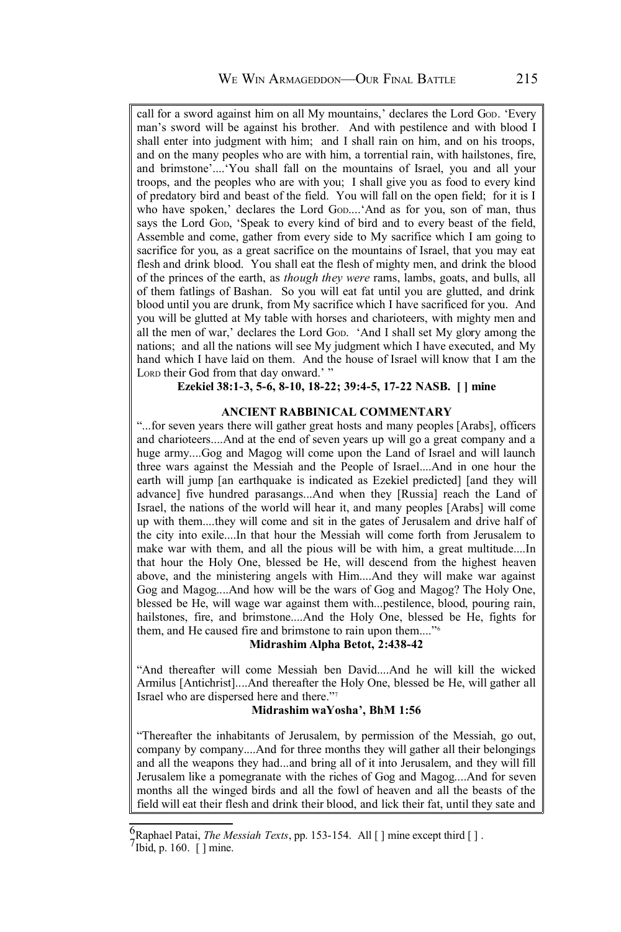call for a sword against him on all My mountains,' declares the Lord GOD. 'Every man's sword will be against his brother. And with pestilence and with blood I shall enter into judgment with him; and I shall rain on him, and on his troops, and on the many peoples who are with him, a torrential rain, with hailstones, fire, and brimstone'....'You shall fall on the mountains of Israel, you and all your troops, and the peoples who are with you; I shall give you as food to every kind of predatory bird and beast of the field. You will fall on the open field; for it is I who have spoken,' declares the Lord Gop....'And as for you, son of man, thus says the Lord Gop, 'Speak to every kind of bird and to every beast of the field, Assemble and come, gather from every side to My sacrifice which I am going to sacrifice for you, as a great sacrifice on the mountains of Israel, that you may eat flesh and drink blood. You shall eat the flesh of mighty men, and drink the blood of the princes of the earth, as *though they were* rams, lambs, goats, and bulls, all of them fatlings of Bashan. So you will eat fat until you are glutted, and drink blood until you are drunk, from My sacrifice which I have sacrificed for you. And you will be glutted at My table with horses and charioteers, with mighty men and all the men of war,' declares the Lord GOD. 'And I shall set My glory among the nations; and all the nations will see My judgment which I have executed, and My hand which I have laid on them. And the house of Israel will know that I am the LORD their God from that day onward.'"

## **Ezekiel 38:1-3, 5-6, 8-10, 18-22; 39:4-5, 17-22 NASB. [ ] mine**

#### **ANCIENT RABBINICAL COMMENTARY**

"...for seven years there will gather great hosts and many peoples [Arabs], officers and charioteers....And at the end of seven years up will go a great company and a huge army....Gog and Magog will come upon the Land of Israel and will launch three wars against the Messiah and the People of Israel....And in one hour the earth will jump [an earthquake is indicated as Ezekiel predicted] [and they will advance] five hundred parasangs...And when they [Russia] reach the Land of Israel, the nations of the world will hear it, and many peoples [Arabs] will come up with them....they will come and sit in the gates of Jerusalem and drive half of the city into exile....In that hour the Messiah will come forth from Jerusalem to make war with them, and all the pious will be with him, a great multitude....In that hour the Holy One, blessed be He, will descend from the highest heaven above, and the ministering angels with Him....And they will make war against Gog and Magog....And how will be the wars of Gog and Magog? The Holy One, blessed be He, will wage war against them with...pestilence, blood, pouring rain, hailstones, fire, and brimstone....And the Holy One, blessed be He, fights for them, and He caused fire and brimstone to rain upon them...."<sup>6</sup>

# **Midrashim Alpha Betot, 2:438-42**

"And thereafter will come Messiah ben David....And he will kill the wicked Armilus [Antichrist]....And thereafter the Holy One, blessed be He, will gather all Israel who are dispersed here and there."<sup>7</sup>

# **Midrashim waYosha', BhM 1:56**

"Thereafter the inhabitants of Jerusalem, by permission of the Messiah, go out, company by company....And for three months they will gather all their belongings and all the weapons they had...and bring all of it into Jerusalem, and they will fill Jerusalem like a pomegranate with the riches of Gog and Magog....And for seven months all the winged birds and all the fowl of heaven and all the beasts of the field will eat their flesh and drink their blood, and lick their fat, until they sate and

<sup>6</sup>Raphael Patai, *The Messiah Texts*, pp. 153-154. All [ ] mine except third [ ] .

 $7^{\text{eq}}$ Hid, p. 160. [] mine.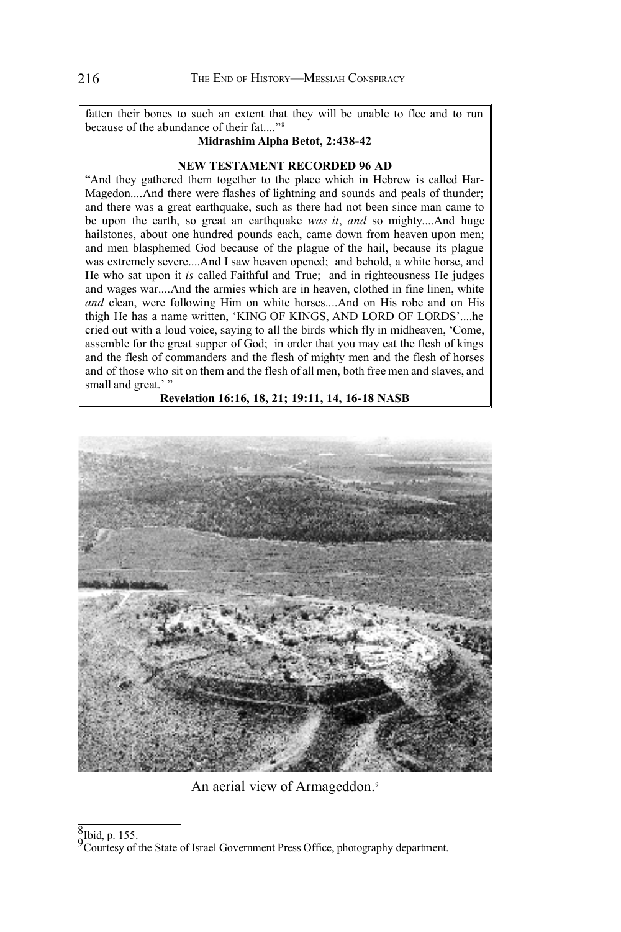fatten their bones to such an extent that they will be unable to flee and to run because of the abundance of their fat...."<sup>8</sup>

#### **Midrashim Alpha Betot, 2:438-42**

#### **NEW TESTAMENT RECORDED 96 AD**

"And they gathered them together to the place which in Hebrew is called Har-Magedon....And there were flashes of lightning and sounds and peals of thunder; and there was a great earthquake, such as there had not been since man came to be upon the earth, so great an earthquake *was it*, *and* so mighty....And huge hailstones, about one hundred pounds each, came down from heaven upon men; and men blasphemed God because of the plague of the hail, because its plague was extremely severe....And I saw heaven opened; and behold, a white horse, and He who sat upon it *is* called Faithful and True; and in righteousness He judges and wages war....And the armies which are in heaven, clothed in fine linen, white *and* clean, were following Him on white horses....And on His robe and on His thigh He has a name written, 'KING OF KINGS, AND LORD OF LORDS'....he cried out with a loud voice, saying to all the birds which fly in midheaven, 'Come, assemble for the great supper of God; in order that you may eat the flesh of kings and the flesh of commanders and the flesh of mighty men and the flesh of horses and of those who sit on them and the flesh of all men, both free men and slaves, and small and great.'"

## **Revelation 16:16, 18, 21; 19:11, 14, 16-18 NASB**



An aerial view of Armageddon.9

<sup>8&</sup>lt;br>
Nold, p. 155.

 $9^{\circ}$ Courtesy of the State of Israel Government Press Office, photography department.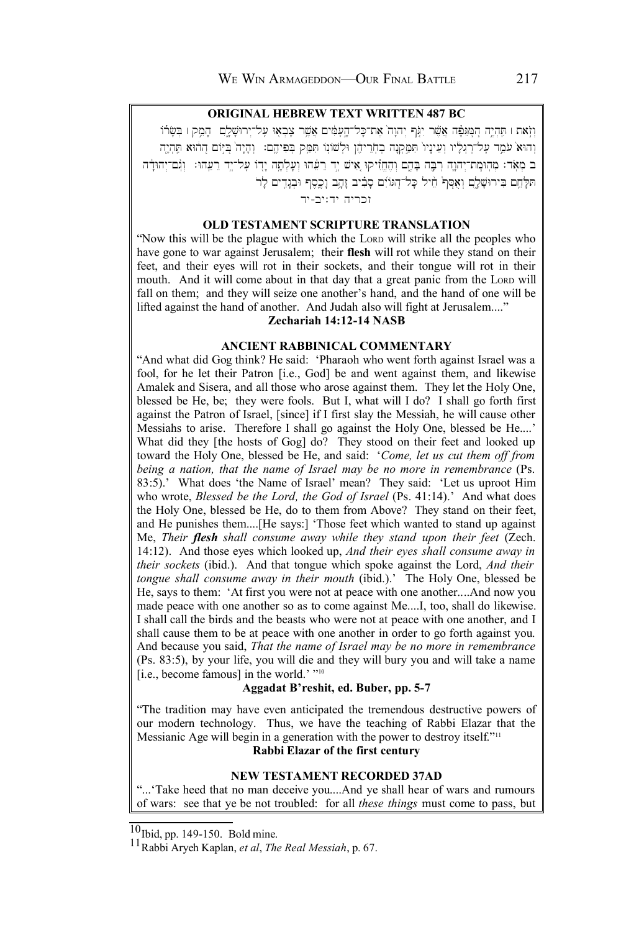# **ORIGINAL HEBREW TEXT WRITTEN 487 BC**

וְוֹאת הַחְהֶיָה הֻמְּגַּפָּה אֲשֶׁר יִגְּף יְהוָה אֶת־כָּל־הָעָמִּים אֲשֶׁר צָבְאָוּ עָל־יְרוּשָׁלֶם הָמֵק הַבְשָׂרוֹ וְהוּא עֹמֶד עָל־רְגְלָיו וְעֵינָיוֹ תִּמְקִנָּה בְחָרֵיהֶן וּלְשׁוֹנוֹ תִּמַּק בְּפִיהֱם: - וְהָיָה בְּיִּוֹם הֲהֹוּא תִּהְיֶה ב מְאָר: מְהוּמְת־יְהוֶה רְבֶה בָּהֶם וְהֶחֱזִיקוּ אִישׁ יֶד רֵשָׁהוּ וְעָלְתֶה יָדָוֹ עָל־יֶד רֵשֵׂהוּ: וְגְם־יְהוּדָה תּלַחֱם בִּירוּשָׁלֵם וְאִסְתֹּ חֵיל כָל־הִגּוֹיָם סָבִיב זַהֲב וַכֵּסֵת וּבְגַדֵים לַרֹ זכריה יד:יב-יד

## **OLD TESTAMENT SCRIPTURE TRANSLATION**

"Now this will be the plague with which the LORD will strike all the peoples who have gone to war against Jerusalem; their **flesh** will rot while they stand on their feet, and their eyes will rot in their sockets, and their tongue will rot in their mouth. And it will come about in that day that a great panic from the LORD will fall on them; and they will seize one another's hand, and the hand of one will be lifted against the hand of another. And Judah also will fight at Jerusalem...." **Zechariah 14:12-14 NASB**

#### **ANCIENT RABBINICAL COMMENTARY**

"And what did Gog think? He said: 'Pharaoh who went forth against Israel was a fool, for he let their Patron [i.e., God] be and went against them, and likewise Amalek and Sisera, and all those who arose against them. They let the Holy One, blessed be He, be; they were fools. But I, what will I do? I shall go forth first against the Patron of Israel, [since] if I first slay the Messiah, he will cause other Messiahs to arise. Therefore I shall go against the Holy One, blessed be He....' What did they [the hosts of Gog] do? They stood on their feet and looked up toward the Holy One, blessed be He, and said: '*Come, let us cut them off from being a nation, that the name of Israel may be no more in remembrance* (Ps. 83:5).' What does 'the Name of Israel' mean? They said: 'Let us uproot Him who wrote, *Blessed be the Lord, the God of Israel* (Ps. 41:14).' And what does the Holy One, blessed be He, do to them from Above? They stand on their feet, and He punishes them....[He says:] 'Those feet which wanted to stand up against Me, *Their flesh shall consume away while they stand upon their feet* (Zech. 14:12). And those eyes which looked up, *And their eyes shall consume away in their sockets* (ibid.). And that tongue which spoke against the Lord, *And their tongue shall consume away in their mouth* (ibid.).' The Holy One, blessed be He, says to them: 'At first you were not at peace with one another....And now you made peace with one another so as to come against Me....I, too, shall do likewise. I shall call the birds and the beasts who were not at peace with one another, and I shall cause them to be at peace with one another in order to go forth against you. And because you said, *That the name of Israel may be no more in remembrance* (Ps. 83:5), by your life, you will die and they will bury you and will take a name [i.e., become famous] in the world.' "<sup>10</sup>

# **Aggadat B'reshit, ed. Buber, pp. 5-7**

"The tradition may have even anticipated the tremendous destructive powers of our modern technology. Thus, we have the teaching of Rabbi Elazar that the Messianic Age will begin in a generation with the power to destroy itself."<sup>11</sup> **Rabbi Elazar of the first century**

# **NEW TESTAMENT RECORDED 37AD**

"...'Take heed that no man deceive you....And ye shall hear of wars and rumours of wars: see that ye be not troubled: for all *these things* must come to pass, but

 $10$ Ibid, pp. 149-150. Bold mine.

<sup>11</sup>Rabbi Aryeh Kaplan, *et al*, *The Real Messiah*, p. 67.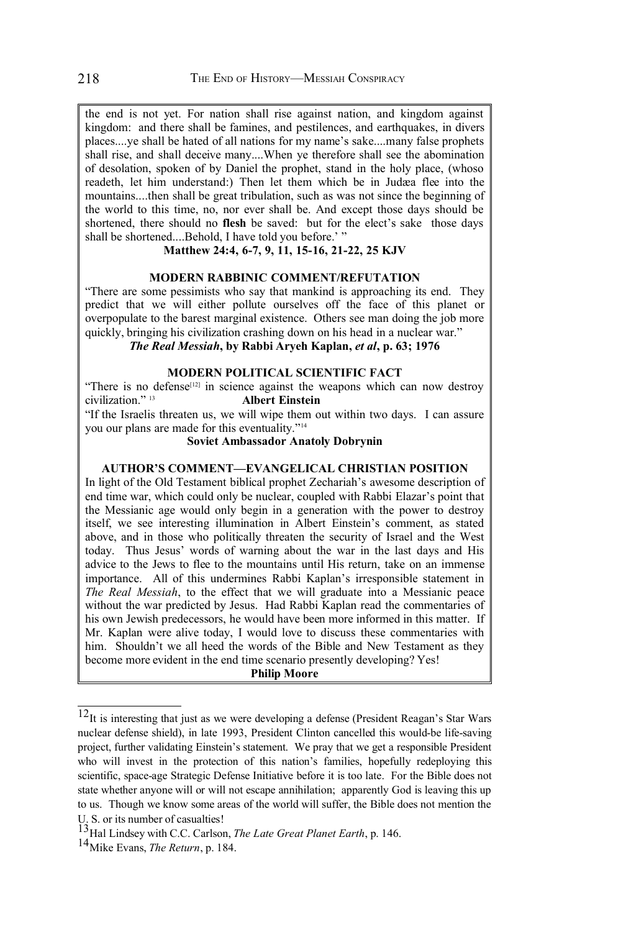the end is not yet. For nation shall rise against nation, and kingdom against kingdom: and there shall be famines, and pestilences, and earthquakes, in divers places....ye shall be hated of all nations for my name's sake....many false prophets shall rise, and shall deceive many....When ye therefore shall see the abomination of desolation, spoken of by Daniel the prophet, stand in the holy place, (whoso readeth, let him understand:) Then let them which be in Judæa flee into the mountains....then shall be great tribulation, such as was not since the beginning of the world to this time, no, nor ever shall be. And except those days should be shortened, there should no **flesh** be saved: but for the elect's sake those days shall be shortened....Behold, I have told you before.' "

# **Matthew 24:4, 6-7, 9, 11, 15-16, 21-22, 25 KJV**

#### **MODERN RABBINIC COMMENT/REFUTATION**

"There are some pessimists who say that mankind is approaching its end. They predict that we will either pollute ourselves off the face of this planet or overpopulate to the barest marginal existence. Others see man doing the job more quickly, bringing his civilization crashing down on his head in a nuclear war."

# *The Real Messiah***, by Rabbi Aryeh Kaplan,** *et al***, p. 63; 1976**

#### **MODERN POLITICAL SCIENTIFIC FACT**

"There is no defense $[12]$  in science against the weapons which can now destroy civilization." <sup>13</sup> **Albert Einstein**

"If the Israelis threaten us, we will wipe them out within two days. I can assure you our plans are made for this eventuality."<sup>14</sup>

## **Soviet Ambassador Anatoly Dobrynin**

#### **AUTHOR'S COMMENT—EVANGELICAL CHRISTIAN POSITION**

In light of the Old Testament biblical prophet Zechariah's awesome description of end time war, which could only be nuclear, coupled with Rabbi Elazar's point that the Messianic age would only begin in a generation with the power to destroy itself, we see interesting illumination in Albert Einstein's comment, as stated above, and in those who politically threaten the security of Israel and the West today. Thus Jesus' words of warning about the war in the last days and His advice to the Jews to flee to the mountains until His return, take on an immense importance. All of this undermines Rabbi Kaplan's irresponsible statement in *The Real Messiah*, to the effect that we will graduate into a Messianic peace without the war predicted by Jesus. Had Rabbi Kaplan read the commentaries of his own Jewish predecessors, he would have been more informed in this matter. If Mr. Kaplan were alive today, I would love to discuss these commentaries with him. Shouldn't we all heed the words of the Bible and New Testament as they become more evident in the end time scenario presently developing? Yes!

# **Philip Moore**

<sup>12</sup>It is interesting that just as we were developing <sup>a</sup> defense (President Reagan's Star Wars nuclear defense shield), in late 1993, President Clinton cancelled this would-be life-saving project, further validating Einstein's statement. We pray that we get a responsible President who will invest in the protection of this nation's families, hopefully redeploying this scientific, space-age Strategic Defense Initiative before it is too late. For the Bible does not state whether anyone will or will not escape annihilation; apparently God is leaving this up to us. Though we know some areas of the world will suffer, the Bible does not mention the U. S. or its number of casualties!

<sup>13</sup>Hal Lindsey with C.C. Carlson, *The Late Great Planet Earth*, p. 146.

<sup>14</sup>Mike Evans, *The Return*, p. 184.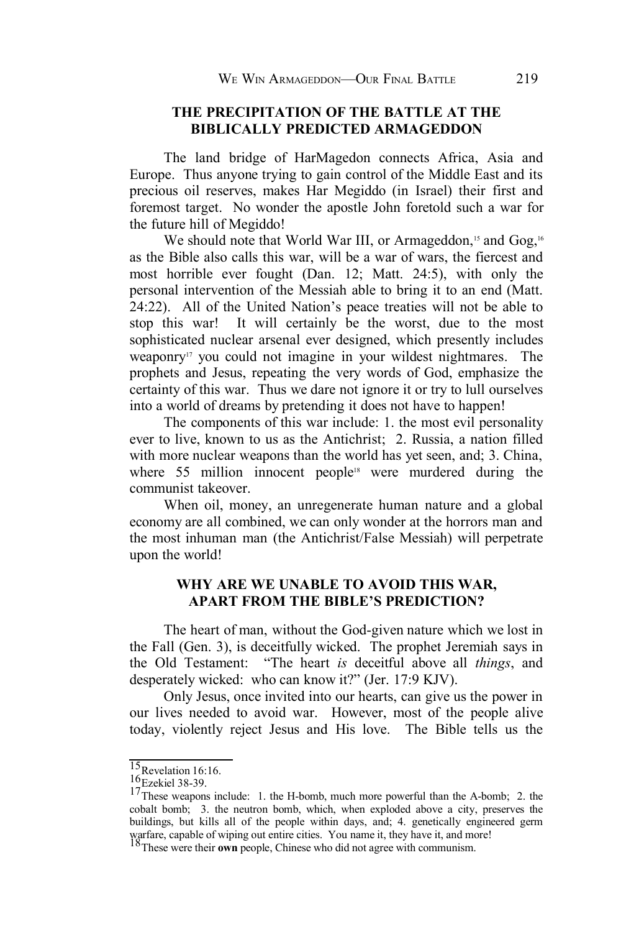# **THE PRECIPITATION OF THE BATTLE AT THE BIBLICALLY PREDICTED ARMAGEDDON**

The land bridge of HarMagedon connects Africa, Asia and Europe. Thus anyone trying to gain control of the Middle East and its precious oil reserves, makes Har Megiddo (in Israel) their first and foremost target. No wonder the apostle John foretold such a war for the future hill of Megiddo!

We should note that World War III, or Armageddon,<sup>15</sup> and Gog,<sup>16</sup> as the Bible also calls this war, will be a war of wars, the fiercest and most horrible ever fought (Dan. 12; Matt. 24:5), with only the personal intervention of the Messiah able to bring it to an end (Matt. 24:22). All of the United Nation's peace treaties will not be able to stop this war! It will certainly be the worst, due to the most sophisticated nuclear arsenal ever designed, which presently includes weaponry<sup>17</sup> you could not imagine in your wildest nightmares. The prophets and Jesus, repeating the very words of God, emphasize the certainty of this war. Thus we dare not ignore it or try to lull ourselves into a world of dreams by pretending it does not have to happen!

The components of this war include: 1. the most evil personality ever to live, known to us as the Antichrist; 2. Russia, a nation filled with more nuclear weapons than the world has yet seen, and; 3. China, where 55 million innocent people<sup>18</sup> were murdered during the communist takeover.

When oil, money, an unregenerate human nature and a global economy are all combined, we can only wonder at the horrors man and the most inhuman man (the Antichrist/False Messiah) will perpetrate upon the world!

# **WHY ARE WE UNABLE TO AVOID THIS WAR, APART FROM THE BIBLE'S PREDICTION?**

The heart of man, without the God-given nature which we lost in the Fall (Gen. 3), is deceitfully wicked. The prophet Jeremiah says in the Old Testament: "The heart *is* deceitful above all *things*, and desperately wicked: who can know it?" (Jer. 17:9 KJV).

Only Jesus, once invited into our hearts, can give us the power in our lives needed to avoid war. However, most of the people alive today, violently reject Jesus and His love. The Bible tells us the

<sup>&</sup>lt;sup>15</sup>Revelation 16:16.

<sup>16</sup>Ezekiel 38-39.

<sup>17</sup>These weapons include: 1. the H-bomb, much more powerful than the A-bomb; 2. the cobalt bomb; 3. the neutron bomb, which, when exploded above a city, preserves the buildings, but kills all of the people within days, and; 4. genetically engineered germ warfare, capable of wiping out entire cities. You name it, they have it, and more! 18These were their **own** people, Chinese who did not agree with communism.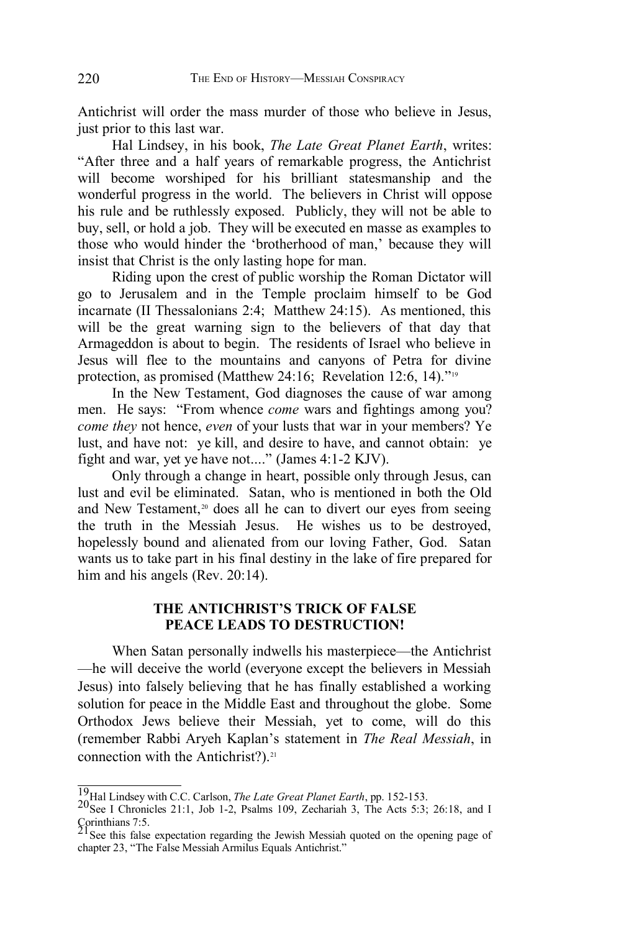Antichrist will order the mass murder of those who believe in Jesus, just prior to this last war.

Hal Lindsey, in his book, *The Late Great Planet Earth*, writes: "After three and a half years of remarkable progress, the Antichrist will become worshiped for his brilliant statesmanship and the wonderful progress in the world. The believers in Christ will oppose his rule and be ruthlessly exposed. Publicly, they will not be able to buy, sell, or hold a job. They will be executed en masse as examples to those who would hinder the 'brotherhood of man,' because they will insist that Christ is the only lasting hope for man.

Riding upon the crest of public worship the Roman Dictator will go to Jerusalem and in the Temple proclaim himself to be God incarnate (II Thessalonians 2:4; Matthew 24:15). As mentioned, this will be the great warning sign to the believers of that day that Armageddon is about to begin. The residents of Israel who believe in Jesus will flee to the mountains and canyons of Petra for divine protection, as promised (Matthew 24:16; Revelation 12:6, 14)."<sup>19</sup>

In the New Testament, God diagnoses the cause of war among men. He says: "From whence *come* wars and fightings among you? *come they* not hence, *even* of your lusts that war in your members? Ye lust, and have not: ye kill, and desire to have, and cannot obtain: ye fight and war, yet ye have not...." (James 4:1-2 KJV).

Only through a change in heart, possible only through Jesus, can lust and evil be eliminated. Satan, who is mentioned in both the Old and New Testament, <sup>20</sup> does all he can to divert our eyes from seeing the truth in the Messiah Jesus. He wishes us to be destroyed, hopelessly bound and alienated from our loving Father, God. Satan wants us to take part in his final destiny in the lake of fire prepared for him and his angels (Rev. 20:14).

# **THE ANTICHRIST'S TRICK OF FALSE PEACE LEADS TO DESTRUCTION!**

When Satan personally indwells his masterpiece—the Antichrist —he will deceive the world (everyone except the believers in Messiah Jesus) into falsely believing that he has finally established a working solution for peace in the Middle East and throughout the globe. Some Orthodox Jews believe their Messiah, yet to come, will do this (remember Rabbi Aryeh Kaplan's statement in *The Real Messiah*, in connection with the Antichrist?).<sup>21</sup>

<sup>19</sup>Hal Lindsey with C.C. Carlson, *The Late Great Planet Earth*, pp. 152-153.

<sup>20</sup>See I Chronicles 21:1, Job 1-2, Psalms 109, Zechariah 3, The Acts 5:3; 26:18, and I Corinthians  $7:5$ .

<sup>&</sup>lt;sup>1</sup> See this false expectation regarding the Jewish Messiah quoted on the opening page of chapter 23, "The False Messiah Armilus Equals Antichrist."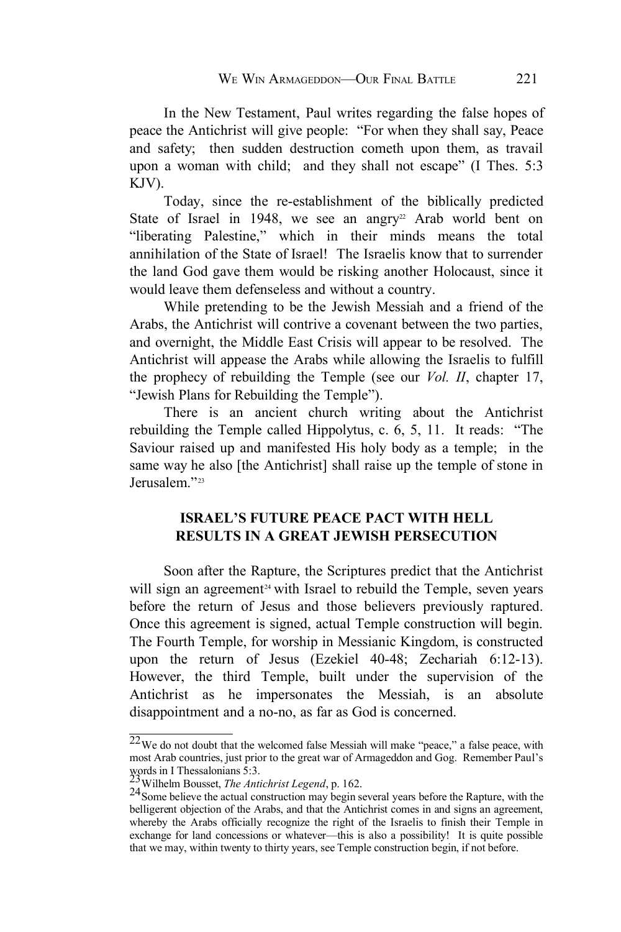In the New Testament, Paul writes regarding the false hopes of peace the Antichrist will give people: "For when they shall say, Peace and safety; then sudden destruction cometh upon them, as travail upon a woman with child; and they shall not escape" (I Thes. 5:3 KJV).

Today, since the re-establishment of the biblically predicted State of Israel in 1948, we see an angry<sup>22</sup> Arab world bent on "liberating Palestine," which in their minds means the total annihilation of the State of Israel! The Israelis know that to surrender the land God gave them would be risking another Holocaust, since it would leave them defenseless and without a country.

While pretending to be the Jewish Messiah and a friend of the Arabs, the Antichrist will contrive a covenant between the two parties, and overnight, the Middle East Crisis will appear to be resolved. The Antichrist will appease the Arabs while allowing the Israelis to fulfill the prophecy of rebuilding the Temple (see our *Vol. II*, chapter 17, "Jewish Plans for Rebuilding the Temple").

There is an ancient church writing about the Antichrist rebuilding the Temple called Hippolytus, c. 6, 5, 11. It reads: "The Saviour raised up and manifested His holy body as a temple; in the same way he also [the Antichrist] shall raise up the temple of stone in Jerusalem<sup>"23</sup>

# **ISRAEL'S FUTURE PEACE PACT WITH HELL RESULTS IN A GREAT JEWISH PERSECUTION**

Soon after the Rapture, the Scriptures predict that the Antichrist will sign an agreement<sup>24</sup> with Israel to rebuild the Temple, seven years before the return of Jesus and those believers previously raptured. Once this agreement is signed, actual Temple construction will begin. The Fourth Temple, for worship in Messianic Kingdom, is constructed upon the return of Jesus (Ezekiel 40-48; Zechariah 6:12-13). However, the third Temple, built under the supervision of the Antichrist as he impersonates the Messiah, is an absolute disappointment and a no-no, as far as God is concerned.

 $22$ We do not doubt that the welcomed false Messiah will make "peace," a false peace, with most Arab countries, just prior to the great war of Armageddon and Gog. Remember Paul's words in I Thessalonians 5:3.<br>23 $x$ <sub>1</sub>:1.  $\therefore$ 

<sup>23</sup>Wilhelm Bousset, *The Antichrist Legend*, p. 162.

<sup>&</sup>lt;sup>24</sup>Some believe the actual construction may begin several years before the Rapture, with the belligerent objection of the Arabs, and that the Antichrist comes in and signs an agreement, whereby the Arabs officially recognize the right of the Israelis to finish their Temple in exchange for land concessions or whatever—this is also a possibility! It is quite possible that we may, within twenty to thirty years, see Temple construction begin, if not before.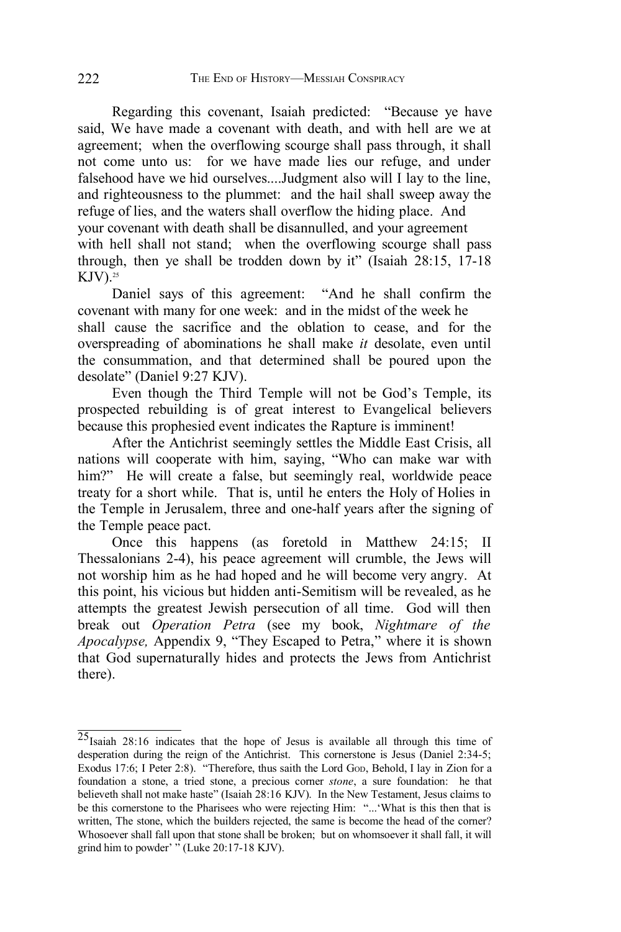Regarding this covenant, Isaiah predicted: "Because ye have said, We have made a covenant with death, and with hell are we at agreement; when the overflowing scourge shall pass through, it shall not come unto us: for we have made lies our refuge, and under falsehood have we hid ourselves....Judgment also will I lay to the line, and righteousness to the plummet: and the hail shall sweep away the refuge of lies, and the waters shall overflow the hiding place. And your covenant with death shall be disannulled, and your agreement with hell shall not stand; when the overflowing scourge shall pass through, then ye shall be trodden down by it" (Isaiah 28:15, 17-18  $KJV$ ).<sup>25</sup>

Daniel says of this agreement: "And he shall confirm the covenant with many for one week: and in the midst of the week he shall cause the sacrifice and the oblation to cease, and for the overspreading of abominations he shall make *it* desolate, even until the consummation, and that determined shall be poured upon the desolate" (Daniel 9:27 KJV).

Even though the Third Temple will not be God's Temple, its prospected rebuilding is of great interest to Evangelical believers because this prophesied event indicates the Rapture is imminent!

After the Antichrist seemingly settles the Middle East Crisis, all nations will cooperate with him, saying, "Who can make war with him?" He will create a false, but seemingly real, worldwide peace treaty for a short while. That is, until he enters the Holy of Holies in the Temple in Jerusalem, three and one-half years after the signing of the Temple peace pact.

Once this happens (as foretold in Matthew 24:15; II Thessalonians 2-4), his peace agreement will crumble, the Jews will not worship him as he had hoped and he will become very angry. At this point, his vicious but hidden anti-Semitism will be revealed, as he attempts the greatest Jewish persecution of all time. God will then break out *Operation Petra* (see my book, *Nightmare of the Apocalypse,* Appendix 9, "They Escaped to Petra," where it is shown that God supernaturally hides and protects the Jews from Antichrist there).

 $25$ <sub>Isaiah</sub> 28:16 indicates that the hope of Jesus is available all through this time of desperation during the reign of the Antichrist. This cornerstone is Jesus (Daniel 2:34-5; Exodus 17:6; I Peter 2:8). "Therefore, thus saith the Lord Gop, Behold, I lay in Zion for a foundation a stone, a tried stone, a precious corner *stone*, a sure foundation: he that believeth shall not make haste" (Isaiah 28:16 KJV). In the New Testament, Jesus claims to be this cornerstone to the Pharisees who were rejecting Him: "...'What is this then that is written, The stone, which the builders rejected, the same is become the head of the corner? Whosoever shall fall upon that stone shall be broken; but on whomsoever it shall fall, it will grind him to powder' " (Luke 20:17-18 KJV).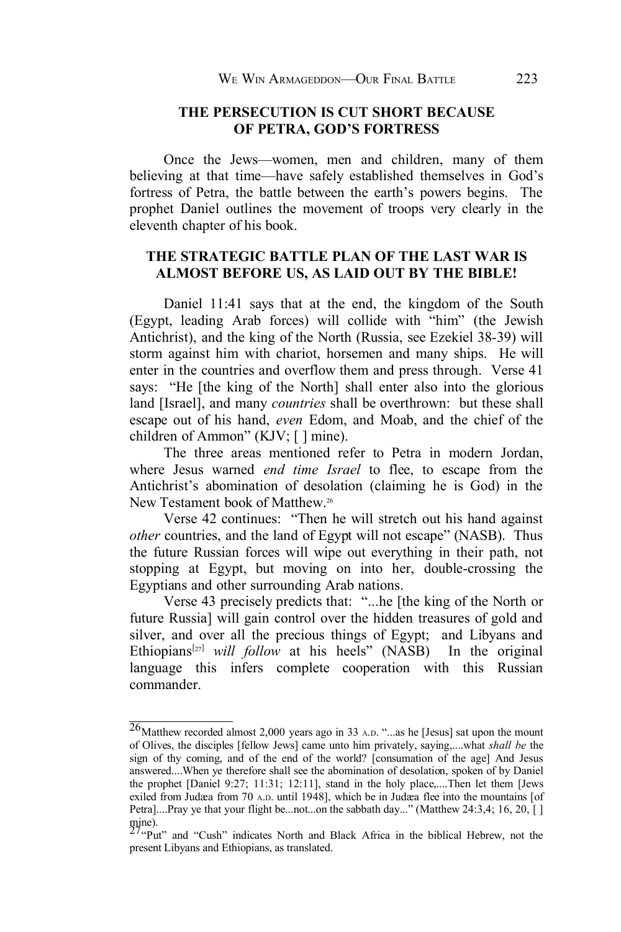# **THE PERSECUTION IS CUT SHORT BECAUSE OF PETRA, GOD'S FORTRESS**

Once the Jews—women, men and children, many of them believing at that time—have safely established themselves in God's fortress of Petra, the battle between the earth's powers begins. The prophet Daniel outlines the movement of troops very clearly in the eleventh chapter of his book.

# **THE STRATEGIC BATTLE PLAN OF THE LAST WAR IS ALMOST BEFORE US, AS LAID OUT BY THE BIBLE!**

Daniel 11:41 says that at the end, the kingdom of the South (Egypt, leading Arab forces) will collide with "him" (the Jewish Antichrist), and the king of the North (Russia, see Ezekiel 38-39) will storm against him with chariot, horsemen and many ships. He will enter in the countries and overflow them and press through. Verse 41 says: "He [the king of the North] shall enter also into the glorious land [Israel], and many *countries* shall be overthrown: but these shall escape out of his hand, *even* Edom, and Moab, and the chief of the children of Ammon" (KJV; [ ] mine).

The three areas mentioned refer to Petra in modern Jordan, where Jesus warned *end time Israel* to flee, to escape from the Antichrist's abomination of desolation (claiming he is God) in the New Testament book of Matthew.<sup>26</sup>

Verse 42 continues: "Then he will stretch out his hand against *other* countries, and the land of Egypt will not escape" (NASB). Thus the future Russian forces will wipe out everything in their path, not stopping at Egypt, but moving on into her, double-crossing the Egyptians and other surrounding Arab nations.

Verse 43 precisely predicts that: "...he [the king of the North or future Russia] will gain control over the hidden treasures of gold and silver, and over all the precious things of Egypt; and Libyans and Ethiopians [27] *will follow* at his heels" (NASB) In the original language this infers complete cooperation with this Russian commander.

 $26$ Matthew recorded almost 2,000 years ago in 33 A.D. "...as he [Jesus] sat upon the mount of Olives, the disciples [fellow Jews] came unto him privately, saying,....what *shall be* the sign of thy coming, and of the end of the world? [consumation of the age] And Jesus answered....When ye therefore shall see the abomination of desolation, spoken of by Daniel the prophet [Daniel 9:27; 11:31; 12:11], stand in the holy place,....Then let them [Jews exiled from Judæa from 70 <sup>A</sup>.D. until 1948], which be in Judæa flee into the mountains [of Petra]....Pray ye that your flight be...not...on the sabbath day..." (Matthew 24:3,4; 16, 20, [] mine).<br>27<sub>"Pu</sub>

<sup>&</sup>lt;sup>1</sup>"Put" and "Cush" indicates North and Black Africa in the biblical Hebrew, not the present Libyans and Ethiopians, as translated.